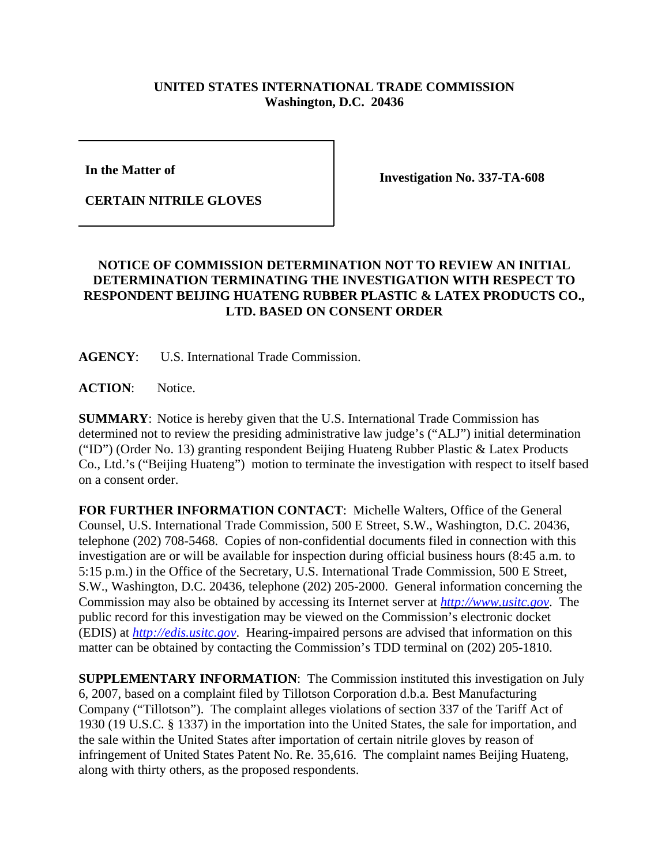## **UNITED STATES INTERNATIONAL TRADE COMMISSION Washington, D.C. 20436**

**In the Matter of** 

**CERTAIN NITRILE GLOVES**

**Investigation No. 337-TA-608**

## **NOTICE OF COMMISSION DETERMINATION NOT TO REVIEW AN INITIAL DETERMINATION TERMINATING THE INVESTIGATION WITH RESPECT TO RESPONDENT BEIJING HUATENG RUBBER PLASTIC & LATEX PRODUCTS CO., LTD. BASED ON CONSENT ORDER**

**AGENCY**: U.S. International Trade Commission.

ACTION: Notice.

**SUMMARY**: Notice is hereby given that the U.S. International Trade Commission has determined not to review the presiding administrative law judge's ("ALJ") initial determination ("ID") (Order No. 13) granting respondent Beijing Huateng Rubber Plastic & Latex Products Co., Ltd.'s ("Beijing Huateng") motion to terminate the investigation with respect to itself based on a consent order.

**FOR FURTHER INFORMATION CONTACT**: Michelle Walters, Office of the General Counsel, U.S. International Trade Commission, 500 E Street, S.W., Washington, D.C. 20436, telephone (202) 708-5468. Copies of non-confidential documents filed in connection with this investigation are or will be available for inspection during official business hours (8:45 a.m. to 5:15 p.m.) in the Office of the Secretary, U.S. International Trade Commission, 500 E Street, S.W., Washington, D.C. 20436, telephone (202) 205-2000. General information concerning the Commission may also be obtained by accessing its Internet server at *http://www.usitc.gov*. The public record for this investigation may be viewed on the Commission's electronic docket (EDIS) at *http://edis.usitc.gov*. Hearing-impaired persons are advised that information on this matter can be obtained by contacting the Commission's TDD terminal on (202) 205-1810.

**SUPPLEMENTARY INFORMATION**: The Commission instituted this investigation on July 6, 2007, based on a complaint filed by Tillotson Corporation d.b.a. Best Manufacturing Company ("Tillotson"). The complaint alleges violations of section 337 of the Tariff Act of 1930 (19 U.S.C. § 1337) in the importation into the United States, the sale for importation, and the sale within the United States after importation of certain nitrile gloves by reason of infringement of United States Patent No. Re. 35,616. The complaint names Beijing Huateng, along with thirty others, as the proposed respondents.